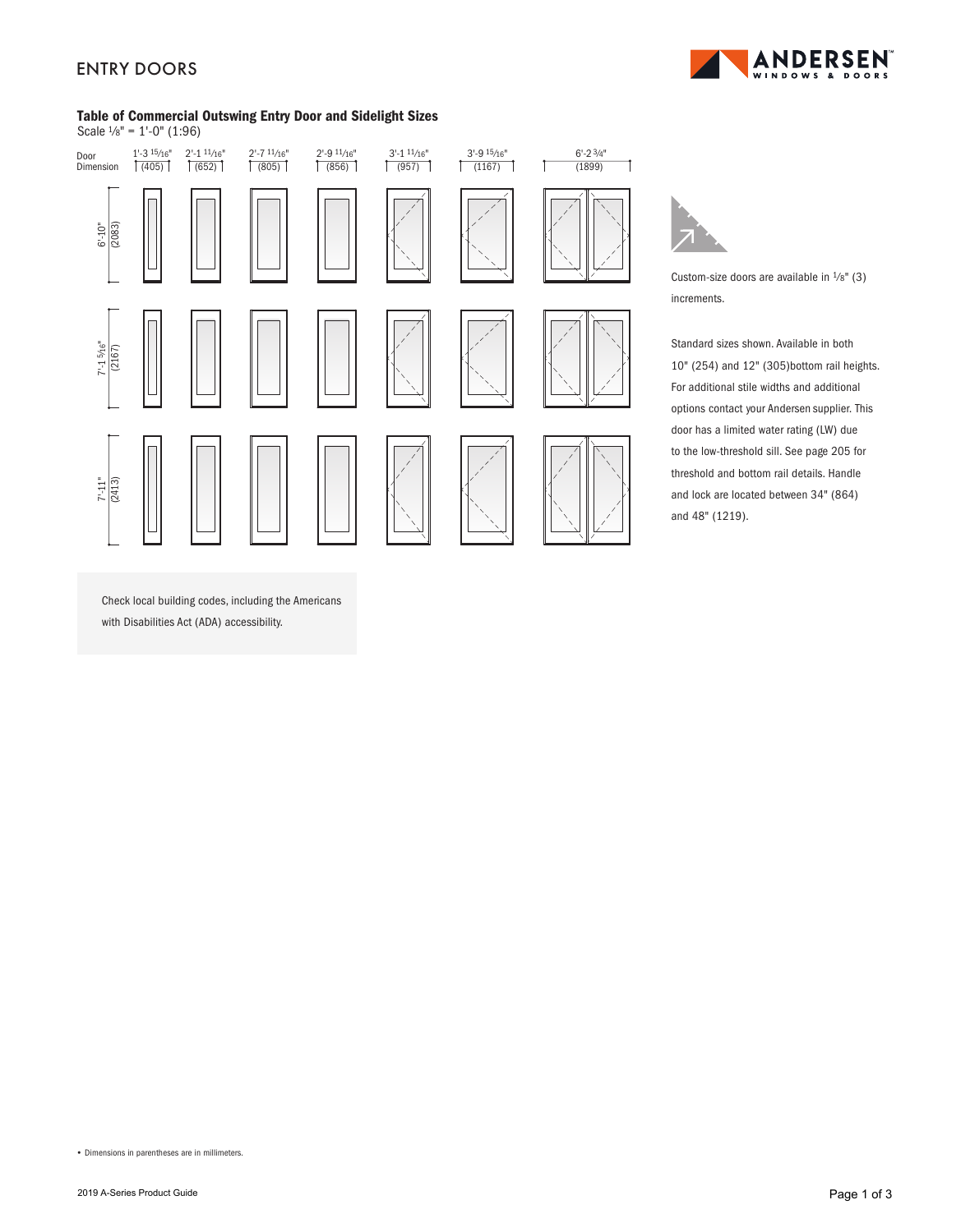# ENTRY DOORS



### Table of Commercial Outswing Entry Door and Sidelight Sizes Scale  $\frac{1}{8}$ " = 1'-0" (1:96)



Custom-size doors are available in  $\frac{1}{8}$ " (3) increments.

7

Standard sizes shown. Available in both 10" (254) and 12" (305)bottom rail heights. For additional stile widths and additional options contact your Andersen supplier. This door has a limited water rating (LW) due to the low-threshold sill. See page 205 for threshold and bottom rail details. Handle and lock are located between 34" (864) and 48" (1219).

Check local building codes, including the Americans with Disabilities Act (ADA) accessibility.

**•** Dimensions in parentheses are in millimeters.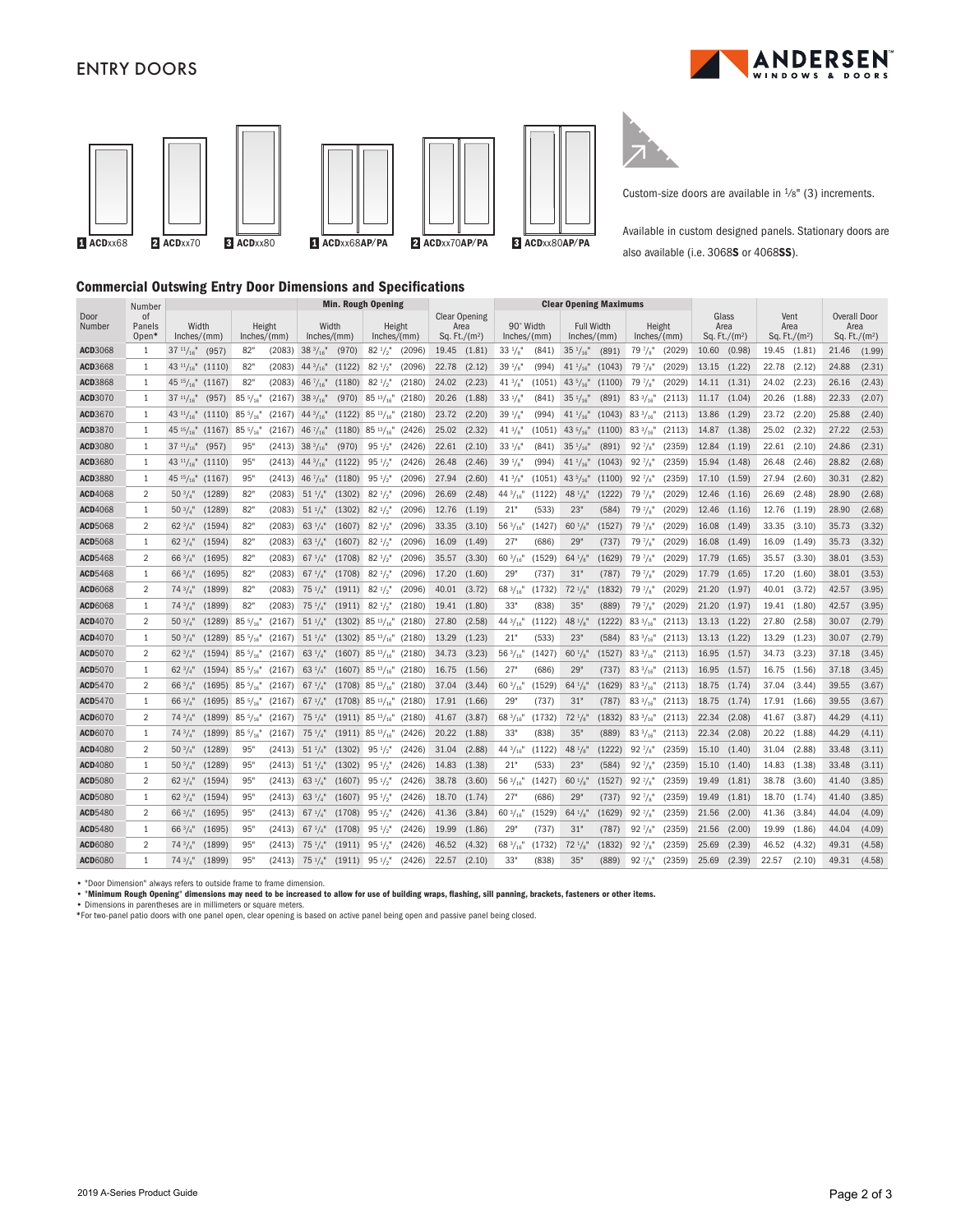## ENTRY DOORS





Custom-size doors are available in  $\frac{1}{8}$ " (3) increments.

Available in custom designed panels. Stationary doors are also available (i.e. 3068S or 4068SS).

## Commercial Outswing Entry Door Dimensions and Specifications

|                 | Number                           | <b>Min. Rough Opening</b>                     |                  |        |                      |        |                               |        | <b>Clear Opening Maximums</b>                    |        |                          |        |                                  |                            |                       |        |                                  |        |                                 |        |                                                |        |
|-----------------|----------------------------------|-----------------------------------------------|------------------|--------|----------------------|--------|-------------------------------|--------|--------------------------------------------------|--------|--------------------------|--------|----------------------------------|----------------------------|-----------------------|--------|----------------------------------|--------|---------------------------------|--------|------------------------------------------------|--------|
| Door<br>Number  | <sub>of</sub><br>Panels<br>Open* | Width<br>Height<br>Inches/(mm)<br>Inches/(mm) |                  |        | Width<br>Inches/(mm) |        | Height<br>Inches/(mm)         |        | <b>Clear Opening</b><br>Area<br>Sq. Ft./( $m2$ ) |        | 90° Width<br>Inches/(mm) |        | <b>Full Width</b><br>Inches/(mm) |                            | Height<br>Inches/(mm) |        | Glass<br>Area<br>Sq. Ft./ $(m2)$ |        | Vent<br>Area<br>Sq. Ft./ $(m2)$ |        | <b>Overall Door</b><br>Area<br>Sq. Ft./ $(m2)$ |        |
| ACD3068         | 1                                | $37 \frac{11}{16}$<br>(957)                   | 82"              | (2083) | $38\frac{3}{16}$     | (970)  | $82 \frac{1}{2}$              | (2096) | 19.45                                            | (1.81) | $33 \frac{1}{8}$         | (841)  | $35 \frac{1}{16}$                | (891)                      | $79\frac{7}{8}$       | (2029) | 10.60                            | (0.98) | 19.45                           | (1.81) | 21.46                                          | (1.99) |
| ACD3668         | 1                                | 43 $\frac{11}{16}$ (1110)                     | 82"              | (2083) | $44\frac{3}{16}$     | (1122) | $82^{1/2}$                    | (2096) | 22.78                                            | (2.12) | $39^{1}/s$               | (994)  | $41 \frac{1}{16}$                | (1043)                     | $79\frac{7}{8}$       | (2029) | 13.15                            | (1.22) | 22.78                           | (2.12) | 24.88                                          | (2.31) |
| ACD3868         | 1                                | $45^{15}/_{16}$<br>(1167)                     | 82"              | (2083) | 46 $\frac{7}{16}$    | (1180) | $82^{1/2}$                    | (2180) | 24.02                                            | (2.23) | $41^{3}/8$               | (1051) | 43 $5/16$                        | (1100)                     | $79\frac{7}{8}$       | (2029) | 14.11                            | (1.31) | 24.02                           | (2.23) | 26.16                                          | (2.43) |
| ACD3070         | 1                                | $37^{11}/_{16}$ "<br>(957)                    | $85\frac{5}{16}$ | (2167) | $38\frac{3}{16}$     | (970)  | $85\frac{13}{16}$ "           | (2180) | 20.26                                            | (1.88) | $33 \frac{1}{8}$         | (841)  | $35 \frac{1}{16}$                | (891)                      | $83\frac{3}{16}$      | (2113) | 11.17                            | (1.04) | 20.26                           | (1.88) | 22.33                                          | (2.07) |
| ACD3670         | 1                                | 43 $11/16$ "<br>(1110)                        | $85\frac{5}{16}$ | (2167) | $44\frac{3}{16}$     |        | $(1122)$ 85 $\frac{13}{16}$ " | (2180) | 23.72                                            | (2.20) | $39^{1}/s$               | (994)  | 41 $\frac{1}{16}$                | $(1043)$ 83 $\frac{3}{16}$ |                       | (2113) | 13.86                            | (1.29) | 23.72                           | (2.20) | 25.88                                          | (2.40) |
| ACD3870         | 1                                | $45 \frac{15}{16}$<br>(1167)                  | $85\frac{5}{16}$ | (2167) | 46 $\frac{7}{16}$    |        | $(1180)$ 85 $\frac{13}{16}$ " | (2426) | 25.02                                            | (2.32) | $41\frac{3}{8}$          | (1051) | 43 $^{5}/_{16}$ "                | (1100)                     | $83\frac{3}{16}$      | (2113) | 14.87                            | (1.38) | 25.02                           | (2.32) | 27.22                                          | (2.53) |
| <b>ACD3080</b>  | 1                                | $37^{11}/_{16}$<br>(957)                      | 95'              | (2413) | $38\frac{3}{16}$     | (970)  | $95\frac{1}{2}$               | (2426) | 22.61                                            | (2.10) | $33 \frac{1}{8}$         | (841)  | $35 \frac{1}{16}$                | (891)                      | 92 $\frac{7}{8}$      | (2359) | 12.84                            | (1.19) | 22.61                           | (2.10) | 24.86                                          | (2.31) |
| ACD3680         | 1                                | 43 $\frac{11}{16}$ (1110)                     | 95'              | (2413) | $44\frac{3}{16}$     | (1122) | $95 \frac{1}{2}$              | (2426) | 26.48                                            | (2.46) | $39^{1}/8$               | (994)  | $41 \frac{1}{16}$                | (1043)                     | $92\frac{7}{8}$       | (2359) | 15.94                            | (1.48) | 26.48                           | (2.46) | 28.82                                          | (2.68) |
| ACD3880         | 1                                | $45 \frac{15}{16}$ (1167)                     | 95'              | (2413) | 46 $\frac{7}{16}$    | (1180) | $95 \frac{1}{2}$              | (2096) | 27.94                                            | (2.60) | $41\frac{3}{8}$          | (1051) | 43 $5/16$                        | (1100)                     | $92\frac{7}{8}$       | (2359) | 17.10                            | (1.59) | 27.94                           | (2.60) | 30.31                                          | (2.82) |
| <b>ACD</b> 4068 | $\overline{2}$                   | $50\frac{3}{4}$ "<br>(1289)                   | 82'              | (2083) | $51 \frac{1}{4}$     | (1302) | $82\frac{1}{2}$               | (2096) | 26.69                                            | (2.48) | $44\frac{3}{16}$         | (1122) | 48 $\frac{1}{8}$                 | (1222)                     | $79\frac{7}{8}$       | (2029) | 12.46                            | (1.16) | 26.69                           | (2.48) | 28.90                                          | (2.68) |
| ACD4068         | 1                                | $50\frac{3}{4}$ "<br>(1289)                   | 82'              | (2083) | $51^{1}/4$           | (1302) | $82^{1/2}$                    | (2096) | 12.76                                            | (1.19) | 21"                      | (533)  | 23'                              | (584)                      | $79\frac{7}{8}$       | (2029) | 12.46                            | (1.16) | 12.76                           | (1.19) | 28.90                                          | (2.68) |
| <b>ACD</b> 5068 | 2                                | 62 $3/4$ "<br>(1594)                          | 82'              | (2083) | 63 $1/4$             | (1607) | $82 \frac{1}{2}$              | (2096) | 33.35                                            | (3.10) | $56\frac{3}{16}$         | (1427) | $60 \frac{1}{8}$                 | (1527)                     | $79\frac{7}{8}$       | (2029) | 16.08                            | (1.49) | 33.35                           | (3.10) | 35.73                                          | (3.32) |
| <b>ACD</b> 5068 | 1                                | $62^{3}/_{4}$ "<br>(1594)                     | 82"              | (2083) | 63 $1/4$ "           | (1607) | $82^{1/2}$                    | (2096) | 16.09                                            | (1.49) | 27"                      | (686)  | 29"                              | (737)                      | $79\frac{7}{8}$       | (2029) | 16.08                            | (1.49) | 16.09                           | (1.49) | 35.73                                          | (3.32) |
| <b>ACD</b> 5468 | $\mathfrak{D}$                   | (1695)<br>$66\frac{3}{4}$                     | 82'              | (2083) | $67 \frac{1}{4}$     | (1708) | $82^{1/2}$                    | (2096) | 35.57                                            | (3.30) | $60\frac{3}{16}$         | (1529) | $64\frac{1}{8}$                  | (1629)                     | $79\frac{7}{8}$       | (2029) | 17.79                            | (1.65) | 35.57                           | (3.30) | 38.01                                          | (3.53) |
| <b>ACD</b> 5468 | 1                                | 66 $3/4$ "<br>(1695)                          | 82'              | (2083) | $67 \frac{1}{4}$     | (1708) | $82\frac{1}{2}$               | (2096) | 17.20                                            | (1.60) | 29'                      | (737)  | 31"                              | (787)                      | 797/8                 | (2029) | 17.79                            | (1.65) | 17.20                           | (1.60) | 38.01                                          | (3.53) |
| <b>ACD6068</b>  | $\mathfrak{D}$                   | $74^{3}/4"$<br>(1899)                         | 82'              | (2083) | $75 \frac{1}{4}$     | (1911) | $82\frac{1}{2}$               | (2096) | 40.01                                            | (3.72) | $68\frac{3}{16}$         | (1732) | $72 \frac{1}{8}$                 | (1832)                     | $79\frac{7}{8}$       | (2029) | 21.20                            | (1.97) | 40.01                           | (3.72) | 42.57                                          | (3.95) |
| <b>ACD6068</b>  | 1                                | $74^{3}/_{4}$ "<br>(1899)                     | 82'              | (2083) | $75 \frac{1}{4}$     | (1911) | $82^{1/2}$                    | (2180) | 19.41                                            | (1.80) | 33'                      | (838)  | 35'                              | (889)                      | $79\frac{7}{8}$       | (2029) | 21.20                            | (1.97) | 19.41                           | (1.80) | 42.57                                          | (3.95) |
| <b>ACD</b> 4070 | $\overline{2}$                   | (1289)<br>$50\frac{3}{4}$                     | $85\frac{5}{16}$ | (2167) | $51 \frac{1}{4}$     |        | $(1302)$ 85 $\frac{13}{16}$   | (2180) | 27.80                                            | (2.58) | $44\frac{3}{16}$         | (1122) | $48 \frac{1}{8}$                 | (1222)                     | $83\frac{3}{16}$      | (2113) | 13.13                            | (1.22) | 27.80                           | (2.58) | 30.07                                          | (2.79) |
| ACD4070         | $\mathbf{1}$                     | $50\frac{3}{4}$ "<br>(1289)                   | $85\frac{5}{16}$ | (2167) | $51 \frac{1}{4}$     |        | $(1302)$ 85 $\frac{13}{16}$ " | (2180) | 13.29                                            | (1.23) | 21"                      | (533)  | 23"                              | (584)                      | $83\frac{3}{16}$      | (2113) | 13.13                            | (1.22) | 13.29                           | (1.23) | 30.07                                          | (2.79) |
| <b>ACD</b> 5070 | $\overline{2}$                   | 62 $3/4$ "<br>(1594)                          | $85\frac{5}{16}$ | (2167) | 63 $1/4$ "           |        | $(1607)$ 85 $\frac{13}{16}$ " | (2180) | 34.73                                            | (3.23) | $56\frac{3}{16}$         | (1427) | $60^{1}/s$                       | (1527)                     | $83\frac{3}{16}$ "    | (2113) | 16.95                            | (1.57) | 34.73                           | (3.23) | 37.18                                          | (3.45) |
| <b>ACD</b> 5070 | 1                                | 62 $\frac{3}{4}$<br>(1594)                    | $85\frac{5}{16}$ | (2167) | 63 $1/4$             |        | $(1607)$ 85 $\frac{13}{16}$ " | (2180) | 16.75                                            | (1.56) | 27"                      | (686)  | 29"                              | (737)                      | $83\frac{3}{16}$ "    | (2113) | 16.95                            | (1.57) | 16.75                           | (1.56) | 37.18                                          | (3.45) |
| ACD5470         | $\overline{2}$                   | $66^{3}/_{4}$ "<br>(1695)                     | $85\frac{5}{16}$ | (2167) | $67 \frac{1}{4}$     | (1708) | $85^{13}/_{16}$ "             | (2180) | 37.04                                            | (3.44) | $60\frac{3}{16}$         | (1529) | $64\frac{1}{8}$                  | (1629)                     | $83\frac{3}{16}$      | (2113) | 18.75                            | (1.74) | 37.04                           | (3.44) | 39.55                                          | (3.67) |
| ACD5470         | 1                                | $66^{3}/_{4}$<br>(1695)                       | $85\frac{5}{16}$ | (2167) | $67 \frac{1}{4}$     | (1708) | $85^{13}/_{16}$ "             | (2180) | 17.91                                            | (1.66) | 29"                      | (737)  | 31"                              | (787)                      | $83\frac{3}{16}$      | (2113) | 18.75                            | (1.74) | 17.91                           | (1.66) | 39.55                                          | (3.67) |
| ACD6070         | $\overline{2}$                   | $74^{3}/_{4}$<br>(1899)                       | $85\frac{5}{16}$ | (2167) | $75 \frac{1}{4}$     |        | $(1911)$ 85 $\frac{13}{16}$   | (2180) | 41.67                                            | (3.87) | $68\frac{3}{16}$         | (1732) | $72 \frac{1}{8}$                 | (1832)                     | $83\frac{3}{16}$      | (2113) | 22.34                            | (2.08) | 41.67                           | (3.87) | 44.29                                          | (4.11) |
| ACD6070         | 1                                | $74^{3}/4$<br>(1899)                          | $85\frac{5}{16}$ | (2167) | $75 \frac{1}{4}$     |        | $(1911)$ 85 $\frac{13}{16}$ " | (2426) | 20.22                                            | (1.88) | 33'                      | (838)  | 35"                              | (889)                      | $83\frac{3}{16}$ "    | (2113) | 22.34                            | (2.08) | 20.22                           | (1.88) | 44.29                                          | (4.11) |
| <b>ACD</b> 4080 | $\overline{2}$                   | $50\frac{3}{4}$ "<br>(1289)                   | 95'              | (2413) | $51 \frac{1}{4}$     | (1302) | $95\frac{1}{2}$               | (2426) | 31.04                                            | (2.88) | $44\frac{3}{16}$         | (1122) | $48^{1}/_8$                      | (1222)                     | $92\frac{7}{8}$       | (2359) | 15.10                            | (1.40) | 31.04                           | (2.88) | 33.48                                          | (3.11) |
| <b>ACD</b> 4080 | 1                                | $50\frac{3}{4}$<br>(1289)                     | 95'              | (2413) | $51 \frac{1}{4}$     | (1302) | $95\frac{1}{2}$               | (2426) | 14.83                                            | (1.38) | 21'                      | (533)  | 23'                              | (584)                      | $92\frac{7}{8}$       | (2359) | 15.10                            | (1.40) | 14.83                           | (1.38) | 33.48                                          | (3.11) |
| <b>ACD</b> 5080 | $\overline{2}$                   | 62 $\frac{3}{4}$<br>(1594)                    | 95'              | (2413) | 63 $1/4$ "           | (1607) | $95\frac{1}{2}$               | (2426) | 38.78                                            | (3.60) | $56\frac{3}{16}$         | (1427) | $60^{1}/s$                       | (1527)                     | $92\frac{7}{8}$       | (2359) | 19.49                            | (1.81) | 38.78                           | (3.60) | 41.40                                          | (3.85) |
| <b>ACD</b> 5080 | 1                                | (1594)<br>62 $3/4$ "                          | 95'              | (2413) | $63 \frac{1}{4}$     | (1607) | $95 \frac{1}{2}$              | (2426) | 18.70                                            | (1.74) | 27'                      | (686)  | 29"                              | (737)                      | 92 $\frac{7}{8}$      | (2359) | 19.49                            | (1.81) | 18.70                           | (1.74) | 41.40                                          | (3.85) |
| ACD5480         | $\overline{2}$                   | $66^{3}/_{4}$ "<br>(1695)                     | 95'              | (2413) | $67 \frac{1}{4}$     | (1708) | $95\frac{1}{2}$               | (2426) | 41.36                                            | (3.84) | $60\frac{3}{16}$         | (1529) | $64\frac{1}{8}$                  | (1629)                     | $92\frac{7}{8}$       | (2359) | 21.56                            | (2.00) | 41.36                           | (3.84) | 44.04                                          | (4.09) |
| <b>ACD</b> 5480 | 1                                | $66^{3}/4"$<br>(1695)                         | 95'              | (2413) | $67 \frac{1}{4}$     | (1708) | $95 \frac{1}{2}$              | (2426) | 19.99                                            | (1.86) | 29'                      | (737)  | 31"                              | (787)                      | $92\frac{7}{8}$       | (2359) | 21.56                            | (2.00) | 19.99                           | (1.86) | 44.04                                          | (4.09) |
| <b>ACD6080</b>  | $\overline{2}$                   | (1899)<br>743/4"                              | 95'              | (2413) | $75 \frac{1}{4}$     | (1911) | $95 \frac{1}{2}$              | (2426) | 46.52                                            | (4.32) | 68 $3/16$                | (1732) | $72 \frac{1}{8}$                 | (1832)                     | $92\frac{7}{8}$       | (2359) | 25.69                            | (2.39) | 46.52                           | (4.32) | 49.31                                          | (4.58) |
| <b>ACD6080</b>  | $\mathbf{1}$                     | $74^{3}/4"$<br>(1899)                         | 95'              | (2413) | $75 \frac{1}{4}$     | (1911) | $95 \frac{1}{2}$              | (2426) | 22.57                                            | (2.10) | 33'                      | (838)  | 35'                              | (889)                      | $92\frac{7}{8}$       | (2359) | 25.69                            | (2.39) | 22.57                           | (2.10) | 49.31                                          | (4.58) |

**•** "Door Dimension" always refers to outside frame to frame dimension.

• "Minimum Rough Opening" dimensions may need to be increased to allow for use of building wraps, flashing, sill panning, brackets, fasteners or other items.<br>• Dimensions in parentheses are in millimeters or square meters.

\*For two-panel patio doors with one panel open, clear opening is based on active panel being open and passive panel being closed.